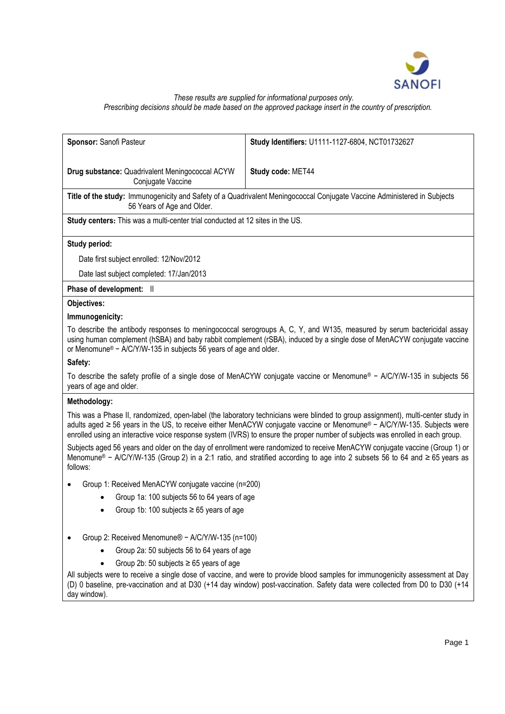

# *These results are supplied for informational purposes only.*

*Prescribing decisions should be made based on the approved package insert in the country of prescription.*

| Sponsor: Sanofi Pasteur                                                       | Study Identifiers: U1111-1127-6804, NCT01732627                                                                                                                                                                                                                                                                                                                                               |
|-------------------------------------------------------------------------------|-----------------------------------------------------------------------------------------------------------------------------------------------------------------------------------------------------------------------------------------------------------------------------------------------------------------------------------------------------------------------------------------------|
| Drug substance: Quadrivalent Meningococcal ACYW<br>Conjugate Vaccine          | Study code: MET44                                                                                                                                                                                                                                                                                                                                                                             |
| 56 Years of Age and Older.                                                    | Title of the study: Immunogenicity and Safety of a Quadrivalent Meningococcal Conjugate Vaccine Administered in Subjects                                                                                                                                                                                                                                                                      |
| Study centers: This was a multi-center trial conducted at 12 sites in the US. |                                                                                                                                                                                                                                                                                                                                                                                               |
| Study period:                                                                 |                                                                                                                                                                                                                                                                                                                                                                                               |
| Date first subject enrolled: 12/Nov/2012                                      |                                                                                                                                                                                                                                                                                                                                                                                               |
| Date last subject completed: 17/Jan/2013                                      |                                                                                                                                                                                                                                                                                                                                                                                               |
| Phase of development: II                                                      |                                                                                                                                                                                                                                                                                                                                                                                               |
| <b>Objectives:</b>                                                            |                                                                                                                                                                                                                                                                                                                                                                                               |
| Immunogenicity:                                                               |                                                                                                                                                                                                                                                                                                                                                                                               |
| or Menomune® - A/C/Y/W-135 in subjects 56 years of age and older.             | To describe the antibody responses to meningococcal serogroups A, C, Y, and W135, measured by serum bactericidal assay<br>using human complement (hSBA) and baby rabbit complement (rSBA), induced by a single dose of MenACYW conjugate vaccine                                                                                                                                              |
| Safety:                                                                       |                                                                                                                                                                                                                                                                                                                                                                                               |
| years of age and older.                                                       | To describe the safety profile of a single dose of MenACYW conjugate vaccine or Menomune® - A/C/Y/W-135 in subjects 56                                                                                                                                                                                                                                                                        |
| Methodology:                                                                  |                                                                                                                                                                                                                                                                                                                                                                                               |
|                                                                               | This was a Phase II, randomized, open-label (the laboratory technicians were blinded to group assignment), multi-center study in<br>adults aged ≥ 56 years in the US, to receive either MenACYW conjugate vaccine or Menomune® - A/C/Y/W-135. Subjects were<br>enrolled using an interactive voice response system (IVRS) to ensure the proper number of subjects was enrolled in each group. |
| follows:                                                                      | Subjects aged 56 years and older on the day of enrollment were randomized to receive MenACYW conjugate vaccine (Group 1) or<br>Menomune® - A/C/Y/W-135 (Group 2) in a 2:1 ratio, and stratified according to age into 2 subsets 56 to 64 and ≥ 65 years as                                                                                                                                    |
| Group 1: Received MenACYW conjugate vaccine (n=200)                           |                                                                                                                                                                                                                                                                                                                                                                                               |
| Group 1a: 100 subjects 56 to 64 years of age                                  |                                                                                                                                                                                                                                                                                                                                                                                               |
| Group 1b: 100 subjects $\geq 65$ years of age                                 |                                                                                                                                                                                                                                                                                                                                                                                               |
| Group 2: Received Menomune® - A/C/Y/W-135 (n=100)                             |                                                                                                                                                                                                                                                                                                                                                                                               |
| Group 2a: 50 subjects 56 to 64 years of age                                   |                                                                                                                                                                                                                                                                                                                                                                                               |
| Group 2b: 50 subjects $\geq 65$ years of age                                  |                                                                                                                                                                                                                                                                                                                                                                                               |
| day window).                                                                  | All subjects were to receive a single dose of vaccine, and were to provide blood samples for immunogenicity assessment at Day<br>(D) 0 baseline, pre-vaccination and at D30 (+14 day window) post-vaccination. Safety data were collected from D0 to D30 (+14                                                                                                                                 |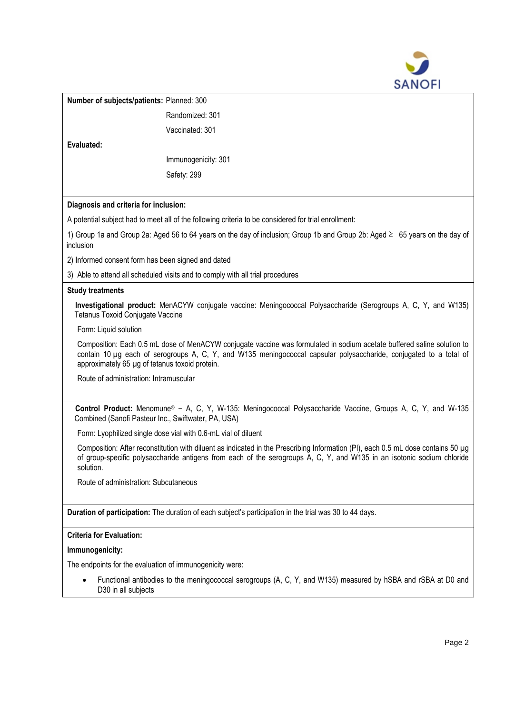

|                                                                                                                                                                                                                                                                         |                                                                                                      | SANOFI                                                                                                                                                                                                                                        |
|-------------------------------------------------------------------------------------------------------------------------------------------------------------------------------------------------------------------------------------------------------------------------|------------------------------------------------------------------------------------------------------|-----------------------------------------------------------------------------------------------------------------------------------------------------------------------------------------------------------------------------------------------|
| Number of subjects/patients: Planned: 300                                                                                                                                                                                                                               |                                                                                                      |                                                                                                                                                                                                                                               |
|                                                                                                                                                                                                                                                                         | Randomized: 301                                                                                      |                                                                                                                                                                                                                                               |
|                                                                                                                                                                                                                                                                         | Vaccinated: 301                                                                                      |                                                                                                                                                                                                                                               |
| Evaluated:                                                                                                                                                                                                                                                              |                                                                                                      |                                                                                                                                                                                                                                               |
|                                                                                                                                                                                                                                                                         | Immunogenicity: 301                                                                                  |                                                                                                                                                                                                                                               |
|                                                                                                                                                                                                                                                                         | Safety: 299                                                                                          |                                                                                                                                                                                                                                               |
|                                                                                                                                                                                                                                                                         |                                                                                                      |                                                                                                                                                                                                                                               |
| Diagnosis and criteria for inclusion:                                                                                                                                                                                                                                   |                                                                                                      |                                                                                                                                                                                                                                               |
|                                                                                                                                                                                                                                                                         | A potential subject had to meet all of the following criteria to be considered for trial enrollment: |                                                                                                                                                                                                                                               |
| inclusion                                                                                                                                                                                                                                                               |                                                                                                      | 1) Group 1a and Group 2a: Aged 56 to 64 years on the day of inclusion; Group 1b and Group 2b: Aged ≥ 65 years on the day of                                                                                                                   |
| 2) Informed consent form has been signed and dated                                                                                                                                                                                                                      |                                                                                                      |                                                                                                                                                                                                                                               |
|                                                                                                                                                                                                                                                                         | 3) Able to attend all scheduled visits and to comply with all trial procedures                       |                                                                                                                                                                                                                                               |
| <b>Study treatments</b>                                                                                                                                                                                                                                                 |                                                                                                      |                                                                                                                                                                                                                                               |
| Tetanus Toxoid Conjugate Vaccine                                                                                                                                                                                                                                        |                                                                                                      | Investigational product: MenACYW conjugate vaccine: Meningococcal Polysaccharide (Serogroups A, C, Y, and W135)                                                                                                                               |
| Form: Liquid solution                                                                                                                                                                                                                                                   |                                                                                                      |                                                                                                                                                                                                                                               |
| approximately 65 µg of tetanus toxoid protein.                                                                                                                                                                                                                          |                                                                                                      | Composition: Each 0.5 mL dose of MenACYW conjugate vaccine was formulated in sodium acetate buffered saline solution to<br>contain 10 µg each of serogroups A, C, Y, and W135 meningococcal capsular polysaccharide, conjugated to a total of |
| Route of administration: Intramuscular                                                                                                                                                                                                                                  |                                                                                                      |                                                                                                                                                                                                                                               |
| Combined (Sanofi Pasteur Inc., Swiftwater, PA, USA)                                                                                                                                                                                                                     |                                                                                                      | Control Product: Menomune® - A, C, Y, W-135: Meningococcal Polysaccharide Vaccine, Groups A, C, Y, and W-135                                                                                                                                  |
|                                                                                                                                                                                                                                                                         | Form: Lyophilized single dose vial with 0.6-mL vial of diluent                                       |                                                                                                                                                                                                                                               |
| Composition: After reconstitution with diluent as indicated in the Prescribing Information (PI), each 0.5 mL dose contains 50 µg<br>of group-specific polysaccharide antigens from each of the serogroups A, C, Y, and W135 in an isotonic sodium chloride<br>solution. |                                                                                                      |                                                                                                                                                                                                                                               |
| Route of administration: Subcutaneous                                                                                                                                                                                                                                   |                                                                                                      |                                                                                                                                                                                                                                               |
|                                                                                                                                                                                                                                                                         |                                                                                                      | Duration of participation: The duration of each subject's participation in the trial was 30 to 44 days.                                                                                                                                       |
| <b>Criteria for Evaluation:</b>                                                                                                                                                                                                                                         |                                                                                                      |                                                                                                                                                                                                                                               |
| Immunogenicity:                                                                                                                                                                                                                                                         |                                                                                                      |                                                                                                                                                                                                                                               |
| The endpoints for the evaluation of immunogenicity were:                                                                                                                                                                                                                |                                                                                                      |                                                                                                                                                                                                                                               |
| Functional antibodies to the meningococcal serogroups (A, C, Y, and W135) measured by hSBA and rSBA at D0 and<br>D30 in all subjects                                                                                                                                    |                                                                                                      |                                                                                                                                                                                                                                               |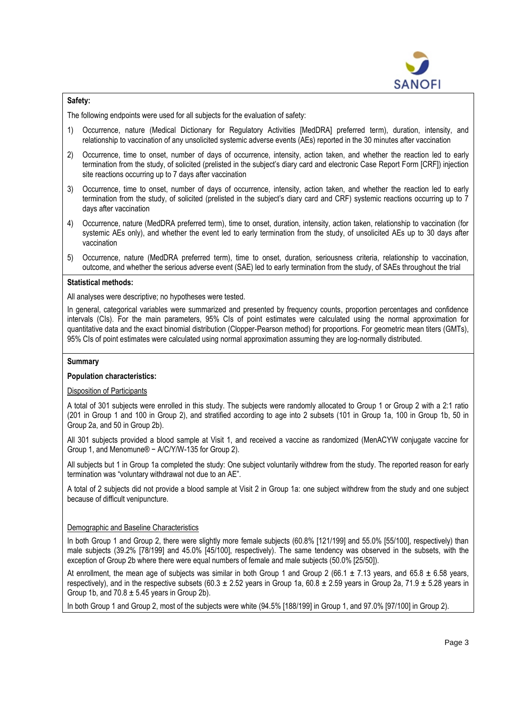

### **Safety:**

The following endpoints were used for all subjects for the evaluation of safety:

- 1) Occurrence, nature (Medical Dictionary for Regulatory Activities [MedDRA] preferred term), duration, intensity, and relationship to vaccination of any unsolicited systemic adverse events (AEs) reported in the 30 minutes after vaccination
- 2) Occurrence, time to onset, number of days of occurrence, intensity, action taken, and whether the reaction led to early termination from the study, of solicited (prelisted in the subject's diary card and electronic Case Report Form [CRF]) injection site reactions occurring up to 7 days after vaccination
- 3) Occurrence, time to onset, number of days of occurrence, intensity, action taken, and whether the reaction led to early termination from the study, of solicited (prelisted in the subject's diary card and CRF) systemic reactions occurring up to 7 days after vaccination
- 4) Occurrence, nature (MedDRA preferred term), time to onset, duration, intensity, action taken, relationship to vaccination (for systemic AEs only), and whether the event led to early termination from the study, of unsolicited AEs up to 30 days after vaccination
- 5) Occurrence, nature (MedDRA preferred term), time to onset, duration, seriousness criteria, relationship to vaccination, outcome, and whether the serious adverse event (SAE) led to early termination from the study, of SAEs throughout the trial

#### **Statistical methods:**

All analyses were descriptive; no hypotheses were tested.

In general, categorical variables were summarized and presented by frequency counts, proportion percentages and confidence intervals (CIs). For the main parameters, 95% CIs of point estimates were calculated using the normal approximation for quantitative data and the exact binomial distribution (Clopper-Pearson method) for proportions. For geometric mean titers (GMTs), 95% CIs of point estimates were calculated using normal approximation assuming they are log-normally distributed.

#### **Summary**

### **Population characteristics:**

### Disposition of Participants

A total of 301 subjects were enrolled in this study. The subjects were randomly allocated to Group 1 or Group 2 with a 2:1 ratio (201 in Group 1 and 100 in Group 2), and stratified according to age into 2 subsets (101 in Group 1a, 100 in Group 1b, 50 in Group 2a, and 50 in Group 2b).

All 301 subjects provided a blood sample at Visit 1, and received a vaccine as randomized (MenACYW conjugate vaccine for Group 1, and Menomune® − A/C/Y/W-135 for Group 2).

All subjects but 1 in Group 1a completed the study: One subject voluntarily withdrew from the study. The reported reason for early termination was "voluntary withdrawal not due to an AE".

A total of 2 subjects did not provide a blood sample at Visit 2 in Group 1a: one subject withdrew from the study and one subject because of difficult venipuncture.

### Demographic and Baseline Characteristics

In both Group 1 and Group 2, there were slightly more female subjects (60.8% [121/199] and 55.0% [55/100], respectively) than male subjects (39.2% [78/199] and 45.0% [45/100], respectively). The same tendency was observed in the subsets, with the exception of Group 2b where there were equal numbers of female and male subjects (50.0% [25/50]).

At enrollment, the mean age of subjects was similar in both Group 1 and Group 2 (66.1  $\pm$  7.13 years, and 65.8  $\pm$  6.58 years, respectively), and in the respective subsets (60.3  $\pm$  2.52 years in Group 1a, 60.8  $\pm$  2.59 years in Group 2a, 71.9  $\pm$  5.28 years in Group 1b, and  $70.8 \pm 5.45$  years in Group 2b).

In both Group 1 and Group 2, most of the subjects were white (94.5% [188/199] in Group 1, and 97.0% [97/100] in Group 2).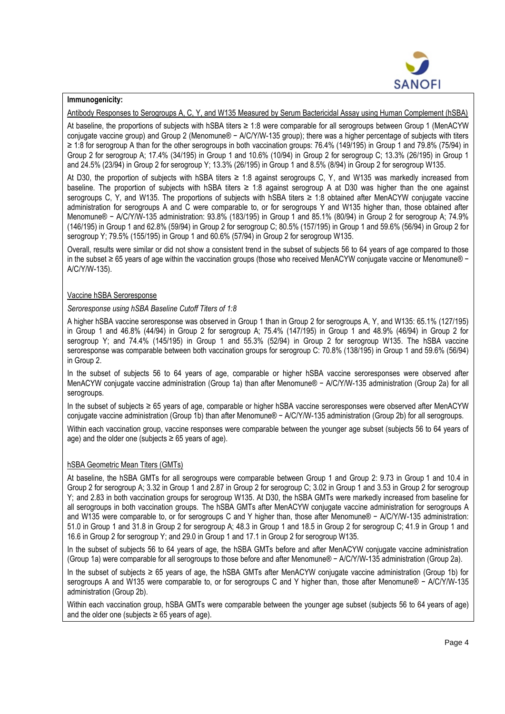

### **Immunogenicity:**

Antibody Responses to Serogroups A, C, Y, and W135 Measured by Serum Bactericidal Assay using Human Complement (hSBA)

At baseline, the proportions of subjects with hSBA titers ≥ 1:8 were comparable for all serogroups between Group 1 (MenACYW conjugate vaccine group) and Group 2 (Menomune® − A/C/Y/W-135 group); there was a higher percentage of subjects with titers ≥ 1:8 for serogroup A than for the other serogroups in both vaccination groups: 76.4% (149/195) in Group 1 and 79.8% (75/94) in Group 2 for serogroup A; 17.4% (34/195) in Group 1 and 10.6% (10/94) in Group 2 for serogroup C; 13.3% (26/195) in Group 1 and 24.5% (23/94) in Group 2 for serogroup Y; 13.3% (26/195) in Group 1 and 8.5% (8/94) in Group 2 for serogroup W135.

At D30, the proportion of subjects with hSBA titers ≥ 1:8 against serogroups C, Y, and W135 was markedly increased from baseline. The proportion of subjects with hSBA titers ≥ 1:8 against serogroup A at D30 was higher than the one against serogroups C, Y, and W135. The proportions of subjects with hSBA titers ≥ 1:8 obtained after MenACYW conjugate vaccine administration for serogroups A and C were comparable to, or for serogroups Y and W135 higher than, those obtained after Menomune® − A/C/Y/W-135 administration: 93.8% (183/195) in Group 1 and 85.1% (80/94) in Group 2 for serogroup A; 74.9% (146/195) in Group 1 and 62.8% (59/94) in Group 2 for serogroup C; 80.5% (157/195) in Group 1 and 59.6% (56/94) in Group 2 for serogroup Y; 79.5% (155/195) in Group 1 and 60.6% (57/94) in Group 2 for serogroup W135.

Overall, results were similar or did not show a consistent trend in the subset of subjects 56 to 64 years of age compared to those in the subset ≥ 65 years of age within the vaccination groups (those who received MenACYW conjugate vaccine or Menomune® − A/C/Y/W-135).

### Vaccine hSBA Seroresponse

*Seroresponse using hSBA Baseline Cutoff Titers of 1:8*

A higher hSBA vaccine seroresponse was observed in Group 1 than in Group 2 for serogroups A, Y, and W135: 65.1% (127/195) in Group 1 and 46.8% (44/94) in Group 2 for serogroup A; 75.4% (147/195) in Group 1 and 48.9% (46/94) in Group 2 for serogroup Y; and 74.4% (145/195) in Group 1 and 55.3% (52/94) in Group 2 for serogroup W135. The hSBA vaccine seroresponse was comparable between both vaccination groups for serogroup C: 70.8% (138/195) in Group 1 and 59.6% (56/94) in Group 2.

In the subset of subjects 56 to 64 years of age, comparable or higher hSBA vaccine seroresponses were observed after MenACYW conjugate vaccine administration (Group 1a) than after Menomune® − A/C/Y/W-135 administration (Group 2a) for all serogroups.

In the subset of subjects ≥ 65 years of age, comparable or higher hSBA vaccine seroresponses were observed after MenACYW conjugate vaccine administration (Group 1b) than after Menomune® − A/C/Y/W-135 administration (Group 2b) for all serogroups.

Within each vaccination group, vaccine responses were comparable between the younger age subset (subjects 56 to 64 years of age) and the older one (subjects  $\geq 65$  years of age).

### hSBA Geometric Mean Titers (GMTs)

At baseline, the hSBA GMTs for all serogroups were comparable between Group 1 and Group 2: 9.73 in Group 1 and 10.4 in Group 2 for serogroup A; 3.32 in Group 1 and 2.87 in Group 2 for serogroup C; 3.02 in Group 1 and 3.53 in Group 2 for serogroup Y; and 2.83 in both vaccination groups for serogroup W135. At D30, the hSBA GMTs were markedly increased from baseline for all serogroups in both vaccination groups. The hSBA GMTs after MenACYW conjugate vaccine administration for serogroups A and W135 were comparable to, or for serogroups C and Y higher than, those after Menomune® − A/C/Y/W-135 administration: 51.0 in Group 1 and 31.8 in Group 2 for serogroup A; 48.3 in Group 1 and 18.5 in Group 2 for serogroup C; 41.9 in Group 1 and 16.6 in Group 2 for serogroup Y; and 29.0 in Group 1 and 17.1 in Group 2 for serogroup W135.

In the subset of subjects 56 to 64 years of age, the hSBA GMTs before and after MenACYW conjugate vaccine administration (Group 1a) were comparable for all serogroups to those before and after Menomune® − A/C/Y/W-135 administration (Group 2a).

In the subset of subjects ≥ 65 years of age, the hSBA GMTs after MenACYW conjugate vaccine administration (Group 1b) for serogroups A and W135 were comparable to, or for serogroups C and Y higher than, those after Menomune® − A/C/Y/W-135 administration (Group 2b).

Within each vaccination group, hSBA GMTs were comparable between the younger age subset (subjects 56 to 64 years of age) and the older one (subjects  $\geq 65$  years of age).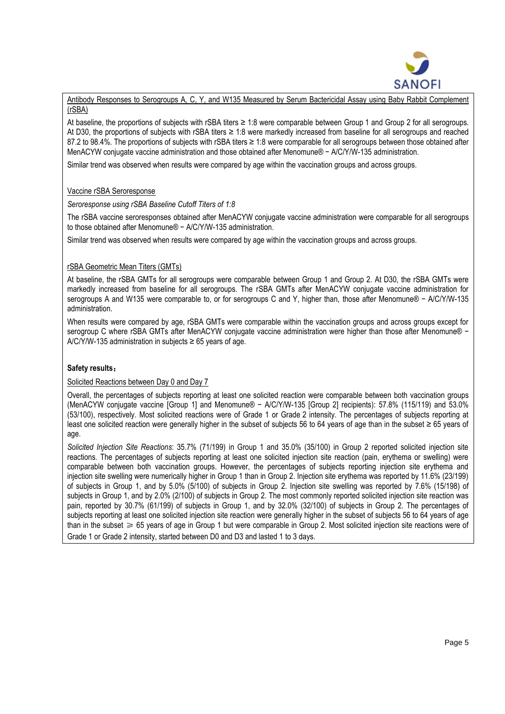

Antibody Responses to Serogroups A, C, Y, and W135 Measured by Serum Bactericidal Assay using Baby Rabbit Complement (rSBA)

At baseline, the proportions of subjects with rSBA titers ≥ 1:8 were comparable between Group 1 and Group 2 for all serogroups. At D30, the proportions of subjects with rSBA titers ≥ 1:8 were markedly increased from baseline for all serogroups and reached 87.2 to 98.4%. The proportions of subjects with rSBA titers ≥ 1:8 were comparable for all serogroups between those obtained after MenACYW conjugate vaccine administration and those obtained after Menomune® − A/C/Y/W-135 administration.

Similar trend was observed when results were compared by age within the vaccination groups and across groups.

## Vaccine rSBA Seroresponse

### *Seroresponse using rSBA Baseline Cutoff Titers of 1:8*

The rSBA vaccine seroresponses obtained after MenACYW conjugate vaccine administration were comparable for all serogroups to those obtained after Menomune® − A/C/Y/W-135 administration.

Similar trend was observed when results were compared by age within the vaccination groups and across groups.

## rSBA Geometric Mean Titers (GMTs)

At baseline, the rSBA GMTs for all serogroups were comparable between Group 1 and Group 2. At D30, the rSBA GMTs were markedly increased from baseline for all serogroups. The rSBA GMTs after MenACYW conjugate vaccine administration for serogroups A and W135 were comparable to, or for serogroups C and Y, higher than, those after Menomune® − A/C/Y/W-135 administration.

When results were compared by age, rSBA GMTs were comparable within the vaccination groups and across groups except for serogroup C where rSBA GMTs after MenACYW conjugate vaccine administration were higher than those after Menomune® − A/C/Y/W-135 administration in subjects  $\geq 65$  years of age.

### **Safety results**:

### Solicited Reactions between Day 0 and Day 7

Overall, the percentages of subjects reporting at least one solicited reaction were comparable between both vaccination groups (MenACYW conjugate vaccine [Group 1] and Menomune® − A/C/Y/W-135 [Group 2] recipients): 57.8% (115/119) and 53.0% (53/100), respectively. Most solicited reactions were of Grade 1 or Grade 2 intensity. The percentages of subjects reporting at least one solicited reaction were generally higher in the subset of subjects 56 to 64 years of age than in the subset ≥ 65 years of age.

*Solicited Injection Site Reactions*: 35.7% (71/199) in Group 1 and 35.0% (35/100) in Group 2 reported solicited injection site reactions. The percentages of subjects reporting at least one solicited injection site reaction (pain, erythema or swelling) were comparable between both vaccination groups. However, the percentages of subjects reporting injection site erythema and injection site swelling were numerically higher in Group 1 than in Group 2. Injection site erythema was reported by 11.6% (23/199) of subjects in Group 1, and by 5.0% (5/100) of subjects in Group 2. Injection site swelling was reported by 7.6% (15/198) of subjects in Group 1, and by 2.0% (2/100) of subjects in Group 2. The most commonly reported solicited injection site reaction was pain, reported by 30.7% (61/199) of subjects in Group 1, and by 32.0% (32/100) of subjects in Group 2. The percentages of subjects reporting at least one solicited injection site reaction were generally higher in the subset of subjects 56 to 64 years of age than in the subset  $\geq 65$  years of age in Group 1 but were comparable in Group 2. Most solicited injection site reactions were of Grade 1 or Grade 2 intensity, started between D0 and D3 and lasted 1 to 3 days.